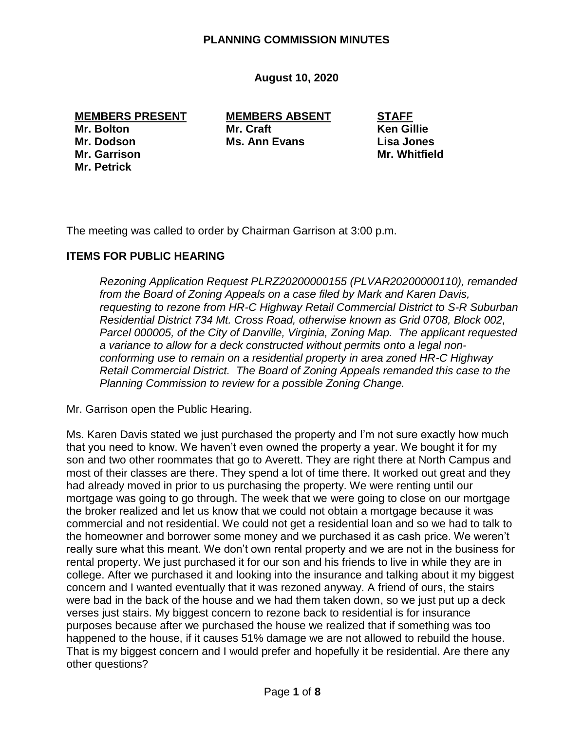#### **PLANNING COMMISSION MINUTES**

#### **August 10, 2020**

#### **MEMBERS PRESENT MEMBERS ABSENT STAFF**

**Mr. Dodson Ms. Ann Evans Lisa Jones Mr. Garrison Mr. Whitfield Mr. Petrick**

**Mr. Bolton Mr. Craft Ken Gillie**

The meeting was called to order by Chairman Garrison at 3:00 p.m.

#### **ITEMS FOR PUBLIC HEARING**

*Rezoning Application Request PLRZ20200000155 (PLVAR20200000110), remanded from the Board of Zoning Appeals on a case filed by Mark and Karen Davis, requesting to rezone from HR-C Highway Retail Commercial District to S-R Suburban Residential District 734 Mt. Cross Road, otherwise known as Grid 0708, Block 002, Parcel 000005, of the City of Danville, Virginia, Zoning Map. The applicant requested a variance to allow for a deck constructed without permits onto a legal nonconforming use to remain on a residential property in area zoned HR-C Highway Retail Commercial District. The Board of Zoning Appeals remanded this case to the Planning Commission to review for a possible Zoning Change.*

Mr. Garrison open the Public Hearing.

Ms. Karen Davis stated we just purchased the property and I'm not sure exactly how much that you need to know. We haven't even owned the property a year. We bought it for my son and two other roommates that go to Averett. They are right there at North Campus and most of their classes are there. They spend a lot of time there. It worked out great and they had already moved in prior to us purchasing the property. We were renting until our mortgage was going to go through. The week that we were going to close on our mortgage the broker realized and let us know that we could not obtain a mortgage because it was commercial and not residential. We could not get a residential loan and so we had to talk to the homeowner and borrower some money and we purchased it as cash price. We weren't really sure what this meant. We don't own rental property and we are not in the business for rental property. We just purchased it for our son and his friends to live in while they are in college. After we purchased it and looking into the insurance and talking about it my biggest concern and I wanted eventually that it was rezoned anyway. A friend of ours, the stairs were bad in the back of the house and we had them taken down, so we just put up a deck verses just stairs. My biggest concern to rezone back to residential is for insurance purposes because after we purchased the house we realized that if something was too happened to the house, if it causes 51% damage we are not allowed to rebuild the house. That is my biggest concern and I would prefer and hopefully it be residential. Are there any other questions?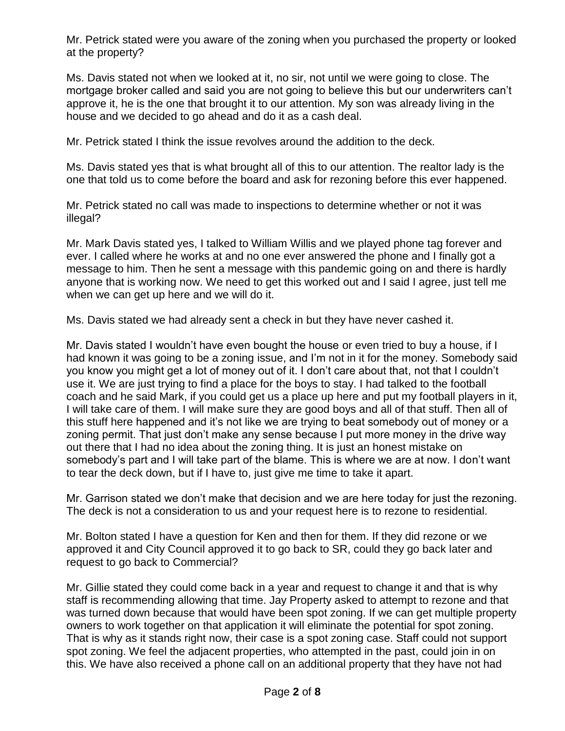Mr. Petrick stated were you aware of the zoning when you purchased the property or looked at the property?

Ms. Davis stated not when we looked at it, no sir, not until we were going to close. The mortgage broker called and said you are not going to believe this but our underwriters can't approve it, he is the one that brought it to our attention. My son was already living in the house and we decided to go ahead and do it as a cash deal.

Mr. Petrick stated I think the issue revolves around the addition to the deck.

Ms. Davis stated yes that is what brought all of this to our attention. The realtor lady is the one that told us to come before the board and ask for rezoning before this ever happened.

Mr. Petrick stated no call was made to inspections to determine whether or not it was illegal?

Mr. Mark Davis stated yes, I talked to William Willis and we played phone tag forever and ever. I called where he works at and no one ever answered the phone and I finally got a message to him. Then he sent a message with this pandemic going on and there is hardly anyone that is working now. We need to get this worked out and I said I agree, just tell me when we can get up here and we will do it.

Ms. Davis stated we had already sent a check in but they have never cashed it.

Mr. Davis stated I wouldn't have even bought the house or even tried to buy a house, if I had known it was going to be a zoning issue, and I'm not in it for the money. Somebody said you know you might get a lot of money out of it. I don't care about that, not that I couldn't use it. We are just trying to find a place for the boys to stay. I had talked to the football coach and he said Mark, if you could get us a place up here and put my football players in it, I will take care of them. I will make sure they are good boys and all of that stuff. Then all of this stuff here happened and it's not like we are trying to beat somebody out of money or a zoning permit. That just don't make any sense because I put more money in the drive way out there that I had no idea about the zoning thing. It is just an honest mistake on somebody's part and I will take part of the blame. This is where we are at now. I don't want to tear the deck down, but if I have to, just give me time to take it apart.

Mr. Garrison stated we don't make that decision and we are here today for just the rezoning. The deck is not a consideration to us and your request here is to rezone to residential.

Mr. Bolton stated I have a question for Ken and then for them. If they did rezone or we approved it and City Council approved it to go back to SR, could they go back later and request to go back to Commercial?

Mr. Gillie stated they could come back in a year and request to change it and that is why staff is recommending allowing that time. Jay Property asked to attempt to rezone and that was turned down because that would have been spot zoning. If we can get multiple property owners to work together on that application it will eliminate the potential for spot zoning. That is why as it stands right now, their case is a spot zoning case. Staff could not support spot zoning. We feel the adjacent properties, who attempted in the past, could join in on this. We have also received a phone call on an additional property that they have not had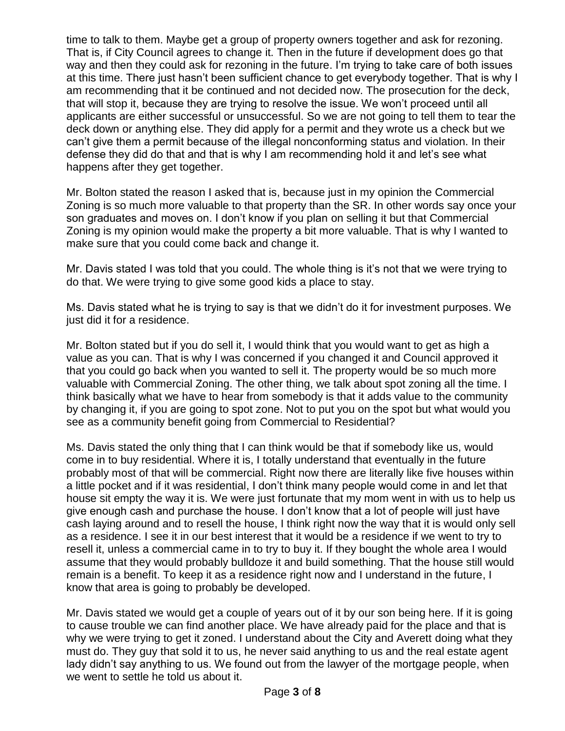time to talk to them. Maybe get a group of property owners together and ask for rezoning. That is, if City Council agrees to change it. Then in the future if development does go that way and then they could ask for rezoning in the future. I'm trying to take care of both issues at this time. There just hasn't been sufficient chance to get everybody together. That is why I am recommending that it be continued and not decided now. The prosecution for the deck, that will stop it, because they are trying to resolve the issue. We won't proceed until all applicants are either successful or unsuccessful. So we are not going to tell them to tear the deck down or anything else. They did apply for a permit and they wrote us a check but we can't give them a permit because of the illegal nonconforming status and violation. In their defense they did do that and that is why I am recommending hold it and let's see what happens after they get together.

Mr. Bolton stated the reason I asked that is, because just in my opinion the Commercial Zoning is so much more valuable to that property than the SR. In other words say once your son graduates and moves on. I don't know if you plan on selling it but that Commercial Zoning is my opinion would make the property a bit more valuable. That is why I wanted to make sure that you could come back and change it.

Mr. Davis stated I was told that you could. The whole thing is it's not that we were trying to do that. We were trying to give some good kids a place to stay.

Ms. Davis stated what he is trying to say is that we didn't do it for investment purposes. We just did it for a residence.

Mr. Bolton stated but if you do sell it, I would think that you would want to get as high a value as you can. That is why I was concerned if you changed it and Council approved it that you could go back when you wanted to sell it. The property would be so much more valuable with Commercial Zoning. The other thing, we talk about spot zoning all the time. I think basically what we have to hear from somebody is that it adds value to the community by changing it, if you are going to spot zone. Not to put you on the spot but what would you see as a community benefit going from Commercial to Residential?

Ms. Davis stated the only thing that I can think would be that if somebody like us, would come in to buy residential. Where it is, I totally understand that eventually in the future probably most of that will be commercial. Right now there are literally like five houses within a little pocket and if it was residential, I don't think many people would come in and let that house sit empty the way it is. We were just fortunate that my mom went in with us to help us give enough cash and purchase the house. I don't know that a lot of people will just have cash laying around and to resell the house, I think right now the way that it is would only sell as a residence. I see it in our best interest that it would be a residence if we went to try to resell it, unless a commercial came in to try to buy it. If they bought the whole area I would assume that they would probably bulldoze it and build something. That the house still would remain is a benefit. To keep it as a residence right now and I understand in the future, I know that area is going to probably be developed.

Mr. Davis stated we would get a couple of years out of it by our son being here. If it is going to cause trouble we can find another place. We have already paid for the place and that is why we were trying to get it zoned. I understand about the City and Averett doing what they must do. They guy that sold it to us, he never said anything to us and the real estate agent lady didn't say anything to us. We found out from the lawyer of the mortgage people, when we went to settle he told us about it.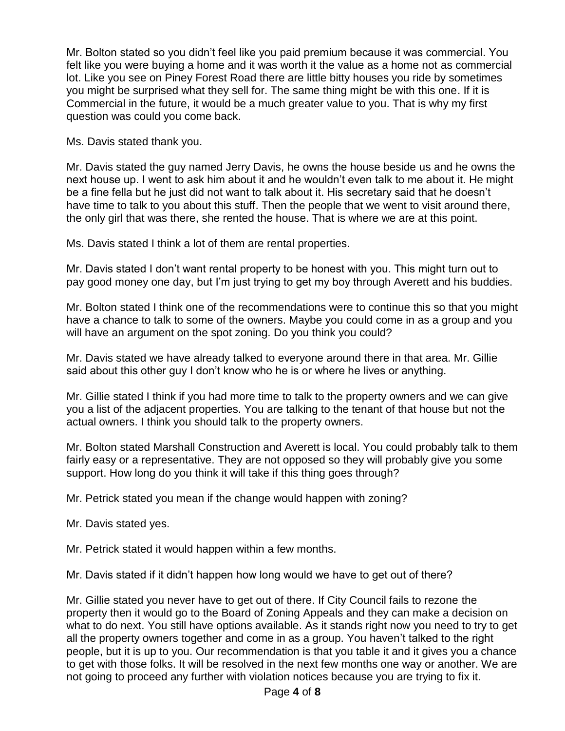Mr. Bolton stated so you didn't feel like you paid premium because it was commercial. You felt like you were buying a home and it was worth it the value as a home not as commercial lot. Like you see on Piney Forest Road there are little bitty houses you ride by sometimes you might be surprised what they sell for. The same thing might be with this one. If it is Commercial in the future, it would be a much greater value to you. That is why my first question was could you come back.

Ms. Davis stated thank you.

Mr. Davis stated the guy named Jerry Davis, he owns the house beside us and he owns the next house up. I went to ask him about it and he wouldn't even talk to me about it. He might be a fine fella but he just did not want to talk about it. His secretary said that he doesn't have time to talk to you about this stuff. Then the people that we went to visit around there, the only girl that was there, she rented the house. That is where we are at this point.

Ms. Davis stated I think a lot of them are rental properties.

Mr. Davis stated I don't want rental property to be honest with you. This might turn out to pay good money one day, but I'm just trying to get my boy through Averett and his buddies.

Mr. Bolton stated I think one of the recommendations were to continue this so that you might have a chance to talk to some of the owners. Maybe you could come in as a group and you will have an argument on the spot zoning. Do you think you could?

Mr. Davis stated we have already talked to everyone around there in that area. Mr. Gillie said about this other guy I don't know who he is or where he lives or anything.

Mr. Gillie stated I think if you had more time to talk to the property owners and we can give you a list of the adjacent properties. You are talking to the tenant of that house but not the actual owners. I think you should talk to the property owners.

Mr. Bolton stated Marshall Construction and Averett is local. You could probably talk to them fairly easy or a representative. They are not opposed so they will probably give you some support. How long do you think it will take if this thing goes through?

Mr. Petrick stated you mean if the change would happen with zoning?

Mr. Davis stated yes.

Mr. Petrick stated it would happen within a few months.

Mr. Davis stated if it didn't happen how long would we have to get out of there?

Mr. Gillie stated you never have to get out of there. If City Council fails to rezone the property then it would go to the Board of Zoning Appeals and they can make a decision on what to do next. You still have options available. As it stands right now you need to try to get all the property owners together and come in as a group. You haven't talked to the right people, but it is up to you. Our recommendation is that you table it and it gives you a chance to get with those folks. It will be resolved in the next few months one way or another. We are not going to proceed any further with violation notices because you are trying to fix it.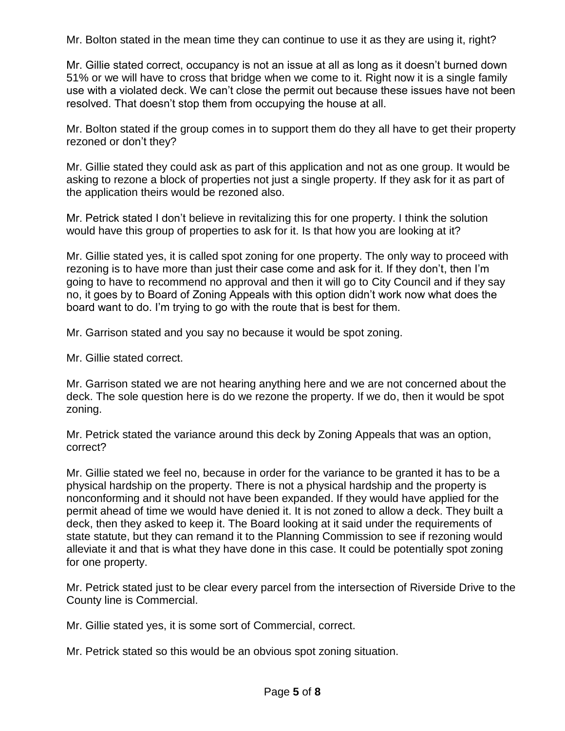Mr. Bolton stated in the mean time they can continue to use it as they are using it, right?

Mr. Gillie stated correct, occupancy is not an issue at all as long as it doesn't burned down 51% or we will have to cross that bridge when we come to it. Right now it is a single family use with a violated deck. We can't close the permit out because these issues have not been resolved. That doesn't stop them from occupying the house at all.

Mr. Bolton stated if the group comes in to support them do they all have to get their property rezoned or don't they?

Mr. Gillie stated they could ask as part of this application and not as one group. It would be asking to rezone a block of properties not just a single property. If they ask for it as part of the application theirs would be rezoned also.

Mr. Petrick stated I don't believe in revitalizing this for one property. I think the solution would have this group of properties to ask for it. Is that how you are looking at it?

Mr. Gillie stated yes, it is called spot zoning for one property. The only way to proceed with rezoning is to have more than just their case come and ask for it. If they don't, then I'm going to have to recommend no approval and then it will go to City Council and if they say no, it goes by to Board of Zoning Appeals with this option didn't work now what does the board want to do. I'm trying to go with the route that is best for them.

Mr. Garrison stated and you say no because it would be spot zoning.

Mr. Gillie stated correct.

Mr. Garrison stated we are not hearing anything here and we are not concerned about the deck. The sole question here is do we rezone the property. If we do, then it would be spot zoning.

Mr. Petrick stated the variance around this deck by Zoning Appeals that was an option, correct?

Mr. Gillie stated we feel no, because in order for the variance to be granted it has to be a physical hardship on the property. There is not a physical hardship and the property is nonconforming and it should not have been expanded. If they would have applied for the permit ahead of time we would have denied it. It is not zoned to allow a deck. They built a deck, then they asked to keep it. The Board looking at it said under the requirements of state statute, but they can remand it to the Planning Commission to see if rezoning would alleviate it and that is what they have done in this case. It could be potentially spot zoning for one property.

Mr. Petrick stated just to be clear every parcel from the intersection of Riverside Drive to the County line is Commercial.

Mr. Gillie stated yes, it is some sort of Commercial, correct.

Mr. Petrick stated so this would be an obvious spot zoning situation.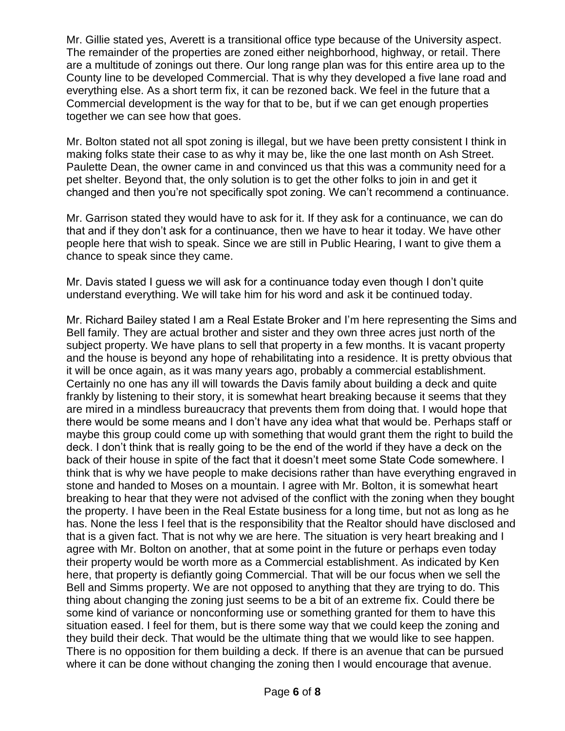Mr. Gillie stated yes, Averett is a transitional office type because of the University aspect. The remainder of the properties are zoned either neighborhood, highway, or retail. There are a multitude of zonings out there. Our long range plan was for this entire area up to the County line to be developed Commercial. That is why they developed a five lane road and everything else. As a short term fix, it can be rezoned back. We feel in the future that a Commercial development is the way for that to be, but if we can get enough properties together we can see how that goes.

Mr. Bolton stated not all spot zoning is illegal, but we have been pretty consistent I think in making folks state their case to as why it may be, like the one last month on Ash Street. Paulette Dean, the owner came in and convinced us that this was a community need for a pet shelter. Beyond that, the only solution is to get the other folks to join in and get it changed and then you're not specifically spot zoning. We can't recommend a continuance.

Mr. Garrison stated they would have to ask for it. If they ask for a continuance, we can do that and if they don't ask for a continuance, then we have to hear it today. We have other people here that wish to speak. Since we are still in Public Hearing, I want to give them a chance to speak since they came.

Mr. Davis stated I guess we will ask for a continuance today even though I don't quite understand everything. We will take him for his word and ask it be continued today.

Mr. Richard Bailey stated I am a Real Estate Broker and I'm here representing the Sims and Bell family. They are actual brother and sister and they own three acres just north of the subject property. We have plans to sell that property in a few months. It is vacant property and the house is beyond any hope of rehabilitating into a residence. It is pretty obvious that it will be once again, as it was many years ago, probably a commercial establishment. Certainly no one has any ill will towards the Davis family about building a deck and quite frankly by listening to their story, it is somewhat heart breaking because it seems that they are mired in a mindless bureaucracy that prevents them from doing that. I would hope that there would be some means and I don't have any idea what that would be. Perhaps staff or maybe this group could come up with something that would grant them the right to build the deck. I don't think that is really going to be the end of the world if they have a deck on the back of their house in spite of the fact that it doesn't meet some State Code somewhere. I think that is why we have people to make decisions rather than have everything engraved in stone and handed to Moses on a mountain. I agree with Mr. Bolton, it is somewhat heart breaking to hear that they were not advised of the conflict with the zoning when they bought the property. I have been in the Real Estate business for a long time, but not as long as he has. None the less I feel that is the responsibility that the Realtor should have disclosed and that is a given fact. That is not why we are here. The situation is very heart breaking and I agree with Mr. Bolton on another, that at some point in the future or perhaps even today their property would be worth more as a Commercial establishment. As indicated by Ken here, that property is defiantly going Commercial. That will be our focus when we sell the Bell and Simms property. We are not opposed to anything that they are trying to do. This thing about changing the zoning just seems to be a bit of an extreme fix. Could there be some kind of variance or nonconforming use or something granted for them to have this situation eased. I feel for them, but is there some way that we could keep the zoning and they build their deck. That would be the ultimate thing that we would like to see happen. There is no opposition for them building a deck. If there is an avenue that can be pursued where it can be done without changing the zoning then I would encourage that avenue.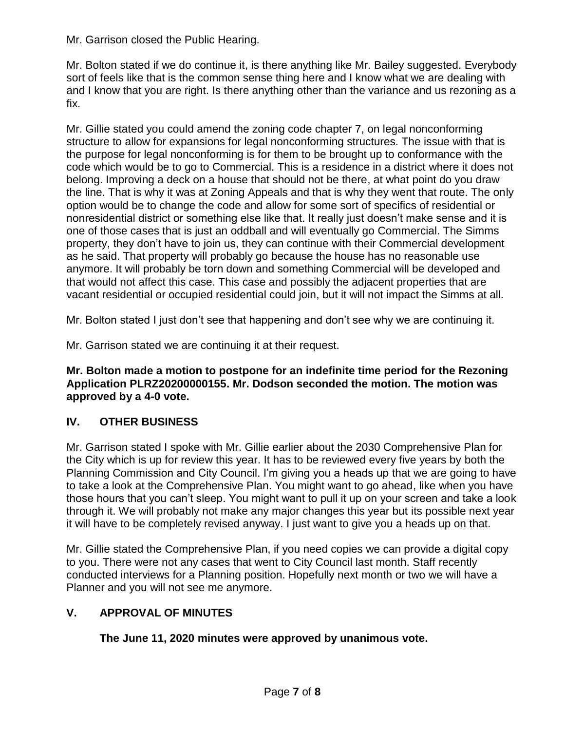Mr. Garrison closed the Public Hearing.

Mr. Bolton stated if we do continue it, is there anything like Mr. Bailey suggested. Everybody sort of feels like that is the common sense thing here and I know what we are dealing with and I know that you are right. Is there anything other than the variance and us rezoning as a fix.

Mr. Gillie stated you could amend the zoning code chapter 7, on legal nonconforming structure to allow for expansions for legal nonconforming structures. The issue with that is the purpose for legal nonconforming is for them to be brought up to conformance with the code which would be to go to Commercial. This is a residence in a district where it does not belong. Improving a deck on a house that should not be there, at what point do you draw the line. That is why it was at Zoning Appeals and that is why they went that route. The only option would be to change the code and allow for some sort of specifics of residential or nonresidential district or something else like that. It really just doesn't make sense and it is one of those cases that is just an oddball and will eventually go Commercial. The Simms property, they don't have to join us, they can continue with their Commercial development as he said. That property will probably go because the house has no reasonable use anymore. It will probably be torn down and something Commercial will be developed and that would not affect this case. This case and possibly the adjacent properties that are vacant residential or occupied residential could join, but it will not impact the Simms at all.

Mr. Bolton stated I just don't see that happening and don't see why we are continuing it.

Mr. Garrison stated we are continuing it at their request.

**Mr. Bolton made a motion to postpone for an indefinite time period for the Rezoning Application PLRZ20200000155. Mr. Dodson seconded the motion. The motion was approved by a 4-0 vote.**

### **IV. OTHER BUSINESS**

Mr. Garrison stated I spoke with Mr. Gillie earlier about the 2030 Comprehensive Plan for the City which is up for review this year. It has to be reviewed every five years by both the Planning Commission and City Council. I'm giving you a heads up that we are going to have to take a look at the Comprehensive Plan. You might want to go ahead, like when you have those hours that you can't sleep. You might want to pull it up on your screen and take a look through it. We will probably not make any major changes this year but its possible next year it will have to be completely revised anyway. I just want to give you a heads up on that.

Mr. Gillie stated the Comprehensive Plan, if you need copies we can provide a digital copy to you. There were not any cases that went to City Council last month. Staff recently conducted interviews for a Planning position. Hopefully next month or two we will have a Planner and you will not see me anymore.

## **V. APPROVAL OF MINUTES**

**The June 11, 2020 minutes were approved by unanimous vote.**